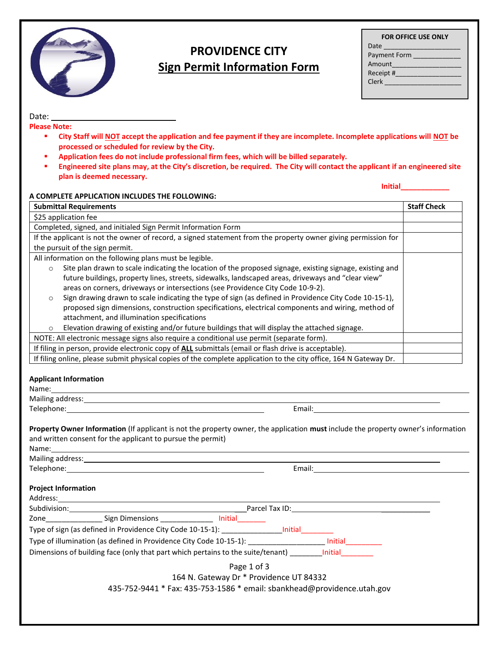

# **PROVIDENCE CITY Sign Permit Information Form**

| <b>FOR OFFICE USE ONLY</b> |  |
|----------------------------|--|
| Date _________________     |  |
| Payment Form               |  |
| Amount                     |  |
| Receipt #                  |  |
| <b>Clerk</b>               |  |
|                            |  |

Date: **Please Note:** 

- **City Staff will NOT accept the application and fee payment if they are incomplete. Incomplete applications will NOT be processed or scheduled for review by the City.**
- **Application fees do not include professional firm fees, which will be billed separately.**
- **Engineered site plans may, at the City's discretion, be required. The City will contact the applicant if an engineered site plan is deemed necessary.**

**Initial\_\_\_\_\_\_\_\_\_\_\_\_**

| <b>Submittal Requirements</b>                                                                                                                                                                                                                                                                                                                                                                                                                                                                                                                                                                                                                                                                                                                                                                                                                                                                                                                                                                                                                                                                                                                    | <b>Staff Check</b> |
|--------------------------------------------------------------------------------------------------------------------------------------------------------------------------------------------------------------------------------------------------------------------------------------------------------------------------------------------------------------------------------------------------------------------------------------------------------------------------------------------------------------------------------------------------------------------------------------------------------------------------------------------------------------------------------------------------------------------------------------------------------------------------------------------------------------------------------------------------------------------------------------------------------------------------------------------------------------------------------------------------------------------------------------------------------------------------------------------------------------------------------------------------|--------------------|
| \$25 application fee                                                                                                                                                                                                                                                                                                                                                                                                                                                                                                                                                                                                                                                                                                                                                                                                                                                                                                                                                                                                                                                                                                                             |                    |
| Completed, signed, and initialed Sign Permit Information Form                                                                                                                                                                                                                                                                                                                                                                                                                                                                                                                                                                                                                                                                                                                                                                                                                                                                                                                                                                                                                                                                                    |                    |
| If the applicant is not the owner of record, a signed statement from the property owner giving permission for                                                                                                                                                                                                                                                                                                                                                                                                                                                                                                                                                                                                                                                                                                                                                                                                                                                                                                                                                                                                                                    |                    |
| the pursuit of the sign permit.                                                                                                                                                                                                                                                                                                                                                                                                                                                                                                                                                                                                                                                                                                                                                                                                                                                                                                                                                                                                                                                                                                                  |                    |
| All information on the following plans must be legible.                                                                                                                                                                                                                                                                                                                                                                                                                                                                                                                                                                                                                                                                                                                                                                                                                                                                                                                                                                                                                                                                                          |                    |
| Site plan drawn to scale indicating the location of the proposed signage, existing signage, existing and<br>$\circ$                                                                                                                                                                                                                                                                                                                                                                                                                                                                                                                                                                                                                                                                                                                                                                                                                                                                                                                                                                                                                              |                    |
| future buildings, property lines, streets, sidewalks, landscaped areas, driveways and "clear view"                                                                                                                                                                                                                                                                                                                                                                                                                                                                                                                                                                                                                                                                                                                                                                                                                                                                                                                                                                                                                                               |                    |
| areas on corners, driveways or intersections (see Providence City Code 10-9-2).                                                                                                                                                                                                                                                                                                                                                                                                                                                                                                                                                                                                                                                                                                                                                                                                                                                                                                                                                                                                                                                                  |                    |
| Sign drawing drawn to scale indicating the type of sign (as defined in Providence City Code 10-15-1),<br>$\circ$                                                                                                                                                                                                                                                                                                                                                                                                                                                                                                                                                                                                                                                                                                                                                                                                                                                                                                                                                                                                                                 |                    |
| proposed sign dimensions, construction specifications, electrical components and wiring, method of                                                                                                                                                                                                                                                                                                                                                                                                                                                                                                                                                                                                                                                                                                                                                                                                                                                                                                                                                                                                                                               |                    |
| attachment, and illumination specifications                                                                                                                                                                                                                                                                                                                                                                                                                                                                                                                                                                                                                                                                                                                                                                                                                                                                                                                                                                                                                                                                                                      |                    |
| Elevation drawing of existing and/or future buildings that will display the attached signage.<br>$\circ$                                                                                                                                                                                                                                                                                                                                                                                                                                                                                                                                                                                                                                                                                                                                                                                                                                                                                                                                                                                                                                         |                    |
| NOTE: All electronic message signs also require a conditional use permit (separate form).                                                                                                                                                                                                                                                                                                                                                                                                                                                                                                                                                                                                                                                                                                                                                                                                                                                                                                                                                                                                                                                        |                    |
| If filing in person, provide electronic copy of ALL submittals (email or flash drive is acceptable).                                                                                                                                                                                                                                                                                                                                                                                                                                                                                                                                                                                                                                                                                                                                                                                                                                                                                                                                                                                                                                             |                    |
| If filing online, please submit physical copies of the complete application to the city office, 164 N Gateway Dr.                                                                                                                                                                                                                                                                                                                                                                                                                                                                                                                                                                                                                                                                                                                                                                                                                                                                                                                                                                                                                                |                    |
|                                                                                                                                                                                                                                                                                                                                                                                                                                                                                                                                                                                                                                                                                                                                                                                                                                                                                                                                                                                                                                                                                                                                                  |                    |
| Email: Email: All and the state of the state of the state of the state of the state of the state of the state of the state of the state of the state of the state of the state of the state of the state of the state of the s                                                                                                                                                                                                                                                                                                                                                                                                                                                                                                                                                                                                                                                                                                                                                                                                                                                                                                                   |                    |
|                                                                                                                                                                                                                                                                                                                                                                                                                                                                                                                                                                                                                                                                                                                                                                                                                                                                                                                                                                                                                                                                                                                                                  |                    |
|                                                                                                                                                                                                                                                                                                                                                                                                                                                                                                                                                                                                                                                                                                                                                                                                                                                                                                                                                                                                                                                                                                                                                  |                    |
|                                                                                                                                                                                                                                                                                                                                                                                                                                                                                                                                                                                                                                                                                                                                                                                                                                                                                                                                                                                                                                                                                                                                                  |                    |
|                                                                                                                                                                                                                                                                                                                                                                                                                                                                                                                                                                                                                                                                                                                                                                                                                                                                                                                                                                                                                                                                                                                                                  |                    |
| Email: Email: All and the state of the state of the state of the state of the state of the state of the state of the state of the state of the state of the state of the state of the state of the state of the state of the s                                                                                                                                                                                                                                                                                                                                                                                                                                                                                                                                                                                                                                                                                                                                                                                                                                                                                                                   |                    |
|                                                                                                                                                                                                                                                                                                                                                                                                                                                                                                                                                                                                                                                                                                                                                                                                                                                                                                                                                                                                                                                                                                                                                  |                    |
|                                                                                                                                                                                                                                                                                                                                                                                                                                                                                                                                                                                                                                                                                                                                                                                                                                                                                                                                                                                                                                                                                                                                                  |                    |
|                                                                                                                                                                                                                                                                                                                                                                                                                                                                                                                                                                                                                                                                                                                                                                                                                                                                                                                                                                                                                                                                                                                                                  |                    |
|                                                                                                                                                                                                                                                                                                                                                                                                                                                                                                                                                                                                                                                                                                                                                                                                                                                                                                                                                                                                                                                                                                                                                  |                    |
|                                                                                                                                                                                                                                                                                                                                                                                                                                                                                                                                                                                                                                                                                                                                                                                                                                                                                                                                                                                                                                                                                                                                                  |                    |
|                                                                                                                                                                                                                                                                                                                                                                                                                                                                                                                                                                                                                                                                                                                                                                                                                                                                                                                                                                                                                                                                                                                                                  |                    |
|                                                                                                                                                                                                                                                                                                                                                                                                                                                                                                                                                                                                                                                                                                                                                                                                                                                                                                                                                                                                                                                                                                                                                  |                    |
|                                                                                                                                                                                                                                                                                                                                                                                                                                                                                                                                                                                                                                                                                                                                                                                                                                                                                                                                                                                                                                                                                                                                                  |                    |
| <b>Applicant Information</b><br>Name: Name<br>Mailing address: Mailing and the Mailing and the Mailing and the Mailing and the Mailing and the Mailing and the Mail<br>Property Owner Information (If applicant is not the property owner, the application must include the property owner's information<br>and written consent for the applicant to pursue the permit)<br>Name: Name and the second contract of the second contract of the second contract of the second contract of the second contract of the second contract of the second contract of the second contract of the second contract of<br><b>Project Information</b><br>Subdivision: Parcel Tax ID: Parcel Tax ID:<br>Zone____________________Sign Dimensions __________________ Initial__<br>Type of sign (as defined in Providence City Code 10-15-1): ______________________ Initial__________<br>Type of illumination (as defined in Providence City Code 10-15-1): ______________________ Initial__________<br>Dimensions of building face (only that part which pertains to the suite/tenant) ________ Initial<br>Page 1 of 3<br>164 N. Gateway Dr * Providence UT 84332 |                    |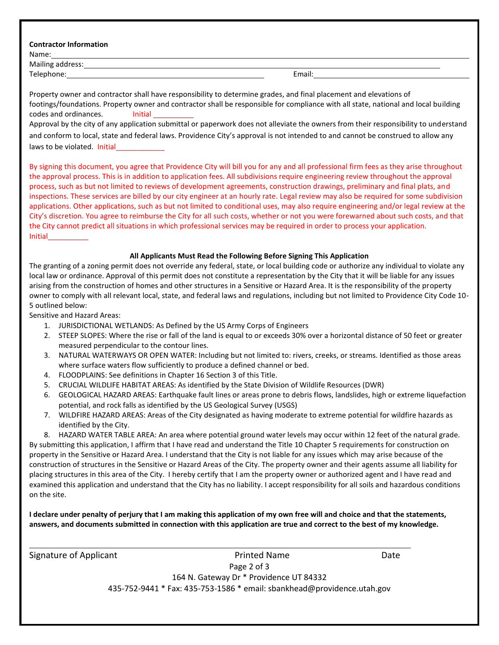|  | <b>Contractor Information</b> |
|--|-------------------------------|
|--|-------------------------------|

| ÷<br> | ır | ۰, |
|-------|----|----|
|       |    |    |

Mailing address: Telephone: Email: Email: Email: Email: Email: Email: Email: Email: Email: Email: Email: Email: Email: Email: Email: Email: Email: Email: Email: Email: Email: Email: Email: Email: Email: Email: Email: Email: Email: Email: E

| Property owner and contractor shall have responsibility to determine grades, and final placement and elevations of                   |
|--------------------------------------------------------------------------------------------------------------------------------------|
| footings/foundations. Property owner and contractor shall be responsible for compliance with all state, national and local building  |
|                                                                                                                                      |
| codes and ordinances.<br>Initial                                                                                                     |
| Approval by the city of any application submittal or paperwork does not alleviate the owners from their responsibility to understand |
| and conform to local, state and federal laws. Providence City's approval is not intended to and cannot be construed to allow any     |
| laws to be violated. Initial                                                                                                         |

By signing this document, you agree that Providence City will bill you for any and all professional firm fees as they arise throughout the approval process. This is in addition to application fees. All subdivisions require engineering review throughout the approval process, such as but not limited to reviews of development agreements, construction drawings, preliminary and final plats, and inspections. These services are billed by our city engineer at an hourly rate. Legal review may also be required for some subdivision applications. Other applications, such as but not limited to conditional uses, may also require engineering and/or legal review at the City's discretion. You agree to reimburse the City for all such costs, whether or not you were forewarned about such costs, and that the City cannot predict all situations in which professional services may be required in order to process your application. Initial\_\_\_\_\_\_\_\_\_\_

#### **All Applicants Must Read the Following Before Signing This Application**

The granting of a zoning permit does not override any federal, state, or local building code or authorize any individual to violate any local law or ordinance. Approval of this permit does not constitute a representation by the City that it will be liable for any issues arising from the construction of homes and other structures in a Sensitive or Hazard Area. It is the responsibility of the property owner to comply with all relevant local, state, and federal laws and regulations, including but not limited to Providence City Code 10- 5 outlined below:

Sensitive and Hazard Areas:

- 1. JURISDICTIONAL WETLANDS: As Defined by the US Army Corps of Engineers
- 2. STEEP SLOPES: Where the rise or fall of the land is equal to or exceeds 30% over a horizontal distance of 50 feet or greater measured perpendicular to the contour lines.
- 3. NATURAL WATERWAYS OR OPEN WATER: Including but not limited to: rivers, creeks, or streams. Identified as those areas where surface waters flow sufficiently to produce a defined channel or bed.
- 4. FLOODPLAINS: See definitions in Chapter 16 Section 3 of this Title.
- 5. CRUCIAL WILDLIFE HABITAT AREAS: As identified by the State Division of Wildlife Resources (DWR)
- 6. GEOLOGICAL HAZARD AREAS: Earthquake fault lines or areas prone to debris flows, landslides, high or extreme liquefaction potential, and rock falls as identified by the US Geological Survey (USGS)
- 7. WILDFIRE HAZARD AREAS: Areas of the City designated as having moderate to extreme potential for wildfire hazards as identified by the City.

8. HAZARD WATER TABLE AREA: An area where potential ground water levels may occur within 12 feet of the natural grade. By submitting this application, I affirm that I have read and understand the Title 10 Chapter 5 requirements for construction on property in the Sensitive or Hazard Area. I understand that the City is not liable for any issues which may arise because of the construction of structures in the Sensitive or Hazard Areas of the City. The property owner and their agents assume all liability for placing structures in this area of the City. I hereby certify that I am the property owner or authorized agent and I have read and examined this application and understand that the City has no liability. I accept responsibility for all soils and hazardous conditions on the site.

**I declare under penalty of perjury that I am making this application of my own free will and choice and that the statements, answers, and documents submitted in connection with this application are true and correct to the best of my knowledge.**

| Signature of Applicant | Printed Name                                                            | Date |
|------------------------|-------------------------------------------------------------------------|------|
|                        | Page 2 of 3                                                             |      |
|                        | 164 N. Gateway Dr * Providence UT 84332                                 |      |
|                        | 435-752-9441 * Fax: 435-753-1586 * email: sbankhead@providence.utah.gov |      |